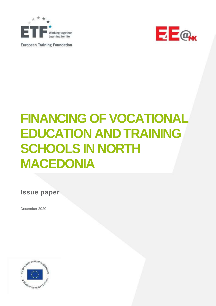

**European Training Foundation** 



# **FINANCING OF VOCATIONAL EDUCATION AND TRAINING SCHOOLS IN NORTH MACEDONIA**

**Issue paper**

December 2020

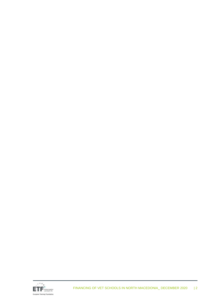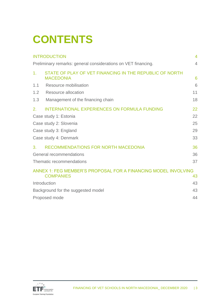# **CONTENTS**

| $\overline{4}$                                                       |
|----------------------------------------------------------------------|
| $\overline{4}$                                                       |
| 6                                                                    |
| 6                                                                    |
| 11                                                                   |
| 18                                                                   |
| 22<br>22                                                             |
| 25                                                                   |
| 29                                                                   |
| 33                                                                   |
| 36                                                                   |
| 36                                                                   |
| 37                                                                   |
| ANNEX 1: FEG MEMBER'S PROPOSAL FOR A FINANCING MODEL INVOLVING<br>43 |
| 43                                                                   |
| 43                                                                   |
| 44                                                                   |
|                                                                      |

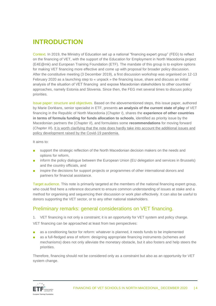# <span id="page-3-0"></span>**INTRODUCTION**

Context*.* In 2019, the Ministry of Education set up a national "financing expert group" (FEG) to reflect on the financing of VET, with the support of the Education for Employment in North Macedonia project (E4E@mk) and European Training Foundation (ETF). The mandate of this group is to explore options for making VET financing more effective and come up with proposal for broader policy discussion. After the constitutive meeting (3 December 2019), a first discussion workshop was organised on 12-13 February 2020 as a launching step to « unpack » the financing issue, share and discuss an initial analysis of the situation of VET financing and expose Macedonian stakeholders to other countries' approaches, namely Estonia and Slovenia. Since then, the FEG met several times to discuss policy priorities.

Issue paper: structure and objectives*.* Based on the abovementioned steps, this issue paper, authored by Marie Dorléans, senior specialist in ETF, presents **an analysis of the current state of play** of VET financing in the Republic of North Macedonia (*Chapter I*), shares the **experience of other countries in terms of formula funding for funds allocation to schools**, identified as priority issue by the Macedonian partners the (*Chapter II*), and formulates some **recommendations** for moving forward (*Chapter III*)**.** It is worth clarifying that the note does hardly take into account the additional issues and policy development raised by the Covid-19 pandemia.

It aims to:

- support the strategic reflection of the North Macedonian decision makers on the needs and options for reform,
- inform the policy dialogue between the European Union (EU delegation and services in Brussels) and the country officials, and
- inspire the decisions for support projects or programmes of other international donors and partners for financial assistance.

Target audience. This note is primarily targeted at the members of the national financing expert group, who could find here a reference document to ensure common understanding of issues at stake and a method for organising and sequencing their discussion or work plan effectively. It can also be useful to donors supporting the VET sector, or to any other national stakeholders.

# <span id="page-3-1"></span>Preliminary remarks: general considerations on VET financing.

1. VET financing is not only a constraint; it is an opportunity for VET system and policy change. VET financing can be approached at least from two perspectives:

- as a conditioning factor for reform: whatever is planned, it needs funds to be implemented
- as a full-fledged area of reform: designing appropriate financing instruments (schemes and mechanisms) does not only alleviate the monetary obstacle, but it also fosters and help steers the priorities.

Therefore, financing should not be considered only as a constraint but also as an opportunity for VET system change.

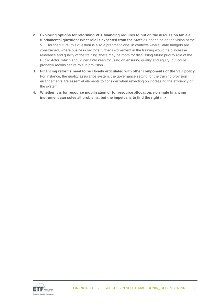- **2. Exploring options for reforming VET financing requires to put on the discussion table a fundamental question: What role is expected from the State?** Depending on the vision of the VET for the future, this question is also a pragmatic one: in contexts where State budgets are constrained, where business sector's further involvement in the training would help increase relevance and quality of the training, there may be room for discussing future priority role of the Public Actor, which should certainly keep focusing on ensuring quality and equity, but could probably reconsider its role in provision.
- 3. **Financing reforms need to be closely articulated with other components of the VET policy.** For instance, the quality assurance system, the governance setting, or the training provision arrangements are essential elements to consider when reflecting on increasing the efficiency of the system.
- **4. Whether it is for resource mobilisation or for resource allocation, no single financing instrument can solve all problems, but the impetus is to find the right mix.**

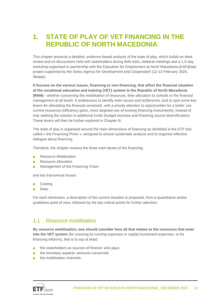# <span id="page-5-0"></span>**1. STATE OF PLAY OF VET FINANCING IN THE REPUBLIC OF NORTH MACEDONIA**

This chapter presents a detailed, evidence-based analysis of the state of play, which builds on desk review and on discussions held with stakeholders during field visits, bilateral meetings and a 1.5-day workshop organised in partnership with the Education for Employment at North Macedonia (E4E@мк) project supported by the Swiss Agency for Development and Cooperation (12-13 February 2020, Skopje).

**It focuses on the various issues, financing or non-financing, that affect the financial situation of the vocational education and training (VET) system in the Republic of North Macedonia (RNM)** - whether concerning the *mobilisation* of resources, their *allocation* to schools or the financial *management* at all levels. It endeavours to identify main issues and bottlenecks, and to spot some key levers for alleviating the financial constraint, with a priority attention to opportunities for a better use current resources (efficiency gains, more targeted use of existing financing instruments), instead of only seeking the solution in additional funds (budget increase and financing source diversification). These levers will then be further explored in Chapter III.

The state of play is organised around the main dimensions of financing as identified in the ETF tool called « the Financing Prism », designed to ensure systematic analysis and to organise effective dialogue about financing.

Therefore, the chapter reviews the three main facets of the financing:

- Resource Mobilisation
- Resource Allocation
- Management of the Financing Chain

and two transversal issues:

- **Costing**
- Data.

For each dimension, a description of the current situation is proposed, from a quantitative and/or qualitative point of view, followed by the key critical points for further attention.

# <span id="page-5-1"></span>1.1 Resource mobilisation

**By resource mobilisation, one should consider here all that relates to the resources that enter into the VET system** (for covering its running expenses or capital investment expenses, or for financing reforms), that is to say at least:

- the stakeholders as sources of finance: who pays
- the monetary aspects: amounts concerned
- the mobilisation channels.

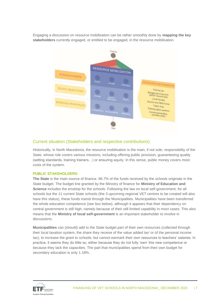Engaging a discussion on resource mobilisation can be rather smoothly done by **mapping the key stakeholders** currently engaged, or entitled to be engaged, in the resource mobilisation.



#### Current situation (Stakeholders and respective contributions)

Historically, in North Macedonia, the resource mobilisation is the main, if not sole, responsibility of the State, whose role covers various missions, including offering public provision, guaranteeing quality (setting standards, training trainers…) or ensuring equity. In this sense, public money covers most costs of the system.

#### **PUBLIC STAKEHOLDERS**

**The State** is the main source of finance. 96.7% of the funds received by the schools originate in the State budget. The budget line granted by the Ministry of finance for **Ministry of Education and Science** includes the envelop for the schools. Following the law on local self-government, for all schools but the 11 current State schools (the 3 upcoming regional VET centres to be created will also have this status), these funds transit through the Municipalities. Municipalities have been transferred the whole education competence (see box below), although it appears that their dependency on central government is still high, namely because of their still limited capability in most cases. This also means that the **Ministry of local self-government** is an important stakeholder to involve in discussions.

**Municipalities** can (should) add to the State budget part of their own resources (collected through their local taxation system, the share they receive of the value added tax<sup>i</sup> or of the personal income tax), to increase the grant to schools, but cannot earmark their own resources to teachers' salaries. In practice, it seems they do little so, either because they do not fully 'own' this new competence or because they lack the capacities. The part that municipalities spend from their own budget for secondary education is only 1.18%.

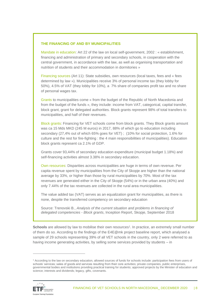#### **THE FINANCING OF AND BY MUNICIPALITIES**

Mandate in education: Art 22 of the law on local self-government, 2002 : « establishment, financing and administration of primary and secondary schools, in cooperation with the central government, in accordance with the law, as well as organising transportation and nutrition of students and their accommodation in dormitories »

Financing sources (Art 11): State subsidies, own resources (local taxes, fees and « fees determined by law »). Municipalities receive 3% of personal income tax (they lobby for 50%), 4.5% of VAT (they lobby for 10%), a 7% share of companies profit tax and no share of personal wages tax.

Grants to municipalities come « from the budget of the Republic of North Macedonia and from the budget of the funds », they include: income from VAT, categorical, capital transfer, block grant, grant for delegated authorities. Block grants represent 98% of total transfers to municipalities, and half of their revenues.

Block grants: Financing for VET schools come from block grants. They Block grants amount was ca 15 Mds MKD (245 M euros) in 2017, 88% of which go to education including secondary (27,4% out of which 65% goes for VET) ; (10% for social protection, 1.6% for culture and the rest for fire-fighting : the 4 main responsibilities of municipalities). Education block grants represent ca 2.1% of GDP.

Grants cover 93,44% of secondary education expenditure (municipal budget 1.18%) and self-financing activities almost 3.38% in secondary education.

Own resources: Disparities across municipalities are huge in terms of own revenue. Per capita revenue spent by municipalities from the City of Skopje are higher than the national average by 33%, or higher than those by rural municipalities by 70%. Most of the tax revenues are generated either in the City of Skopje (54%) or in the urban area (40%) and only 7.44% of the tax revenues are collected in the rural area municipalities.

The value added tax (VAT) serves as an equalization grant for municipalities, as there is none, despite the transferred competency on secondary education

Source: Trenovski B., *Analysis of the current situation and problems in financing of delegated competencies - Block grants*, Inception Report, Skopje, September 2018

Schools are allowed by law to mobilise their own resources<sup>1</sup>. In practice, an extremely small number of them do so. According to the findings of the E4E@mk project baseline report, which analysed a sample of 29 schools representing 39% of all VET schools in the country, only 2 were referred to as having income generating activities, by selling some services provided by students – in

<sup>1</sup> According to the law on secondary education, allowed sources of funds for schools include: participation fees from users of schools' services; sales of goods and services resulting from their core activities; private companies, public enterprises, governmental bodies and institutions providing practical training for students; approved projects by the Minister of education and science; interests and dividends; legacy, gifts, covenants.

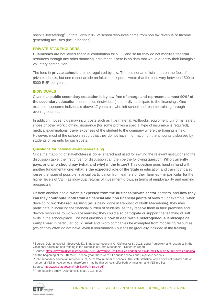hospitality/catering)<sup>2</sup>. In total, only 2.9% of school resources come from non tax revenue or Income generating activities (including fees).

#### **PRIVATE STAKEHOLDERS**

**Businesses** are not levied financial contribution for VET, and so far they do not mobilise financial resources through any other financing instrument. There is no data that would quantify their intangible voluntary contribution.

The fees in **private schools** are not regulated by law. There is not an official data on the fees of private schools, but one recent article on fakulteti.mk portal wrote that the fees vary between 1500 to 5000 EUR per year<sup>3</sup>.

#### **INDIVIDUALS**

Given that **public secondary education is by law free of charge and represents almost 90%<sup>4</sup> of**  the secondary education, households (individuals) do hardly participate to the financing<sup>5</sup>. One exception concerns individuals above 17 years old who left school and resume training through evening courses.

In addition, households may incur costs such as little material, textbooks, equipment, uniforms, safety shoes or other work clothing, insurance (for some profiles a special type of insurance is required), medical examinations, travel expenses of the student to the company where the training is held. However, most of the schools' report that they do not have information on the amounts disbursed by students or parents for such costs.

#### **Questions for national awareness-raising**

Once the mapping of stakeholders is done, shared and used for inviting the relevant institutions to the discussion table, the first driver for discussion can then be the following question: **Who currently pays, and who should pay (what and why) in the future?** This question goes hand in hand with another fundamental one: **what is the expected role of the State** in education and training? It also raises the issue of possible financial participation from learners or their families – in particular for the higher levels of VET (as individual returns of investment grows, in terms of employability and earning prospects).

Or from another angle: **what is expected from the business/private sector** partners, and **how they can they contribute, both from a financial and non financial points of view ?** For example, when developing **work-based learning** (as is being done in Republic of North Macedonia), they may participate in incurring the financial burden of students, as they receive them in their premises and devote resources to work-place learning; they could also participate or support the teaching of soft skills in the school-place. The next question is **how to deal with a heterogeneous landscape of companies**: in particular, could small and micro companies be exempted from mobilising resources (which they often do not have, even if non-financial) but still be gradually included in the training

<sup>3</sup> Source[: https://www.fakulteti.mk/news/06072018/privatnite-uchilishta-vo-podem-se-plakja-od-1-500-do-5-000-evra-za-godina](https://www.fakulteti.mk/news/06072018/privatnite-uchilishta-vo-podem-se-plakja-od-1-500-do-5-000-evra-za-godina) <sup>4</sup> At the beginning of the 2017/2018 school year, there were 117 public schools and 14 private schools.

Source[: http://www.stat.gov.mk/Publikacii/2.4.18.04.pdf](http://www.stat.gov.mk/Publikacii/2.4.18.04.pdf)

<sup>5</sup> From baseline study (Dokmanovikj et al., 2018, p. 29)



<sup>&</sup>lt;sup>2</sup> Source: Dokmanović M., Spasevski D., Shapkova Kocevska K., Gichevska S., 2018, Legal framework and resources in the vocational education and training in the Republic of North Macedonia - Research report

Public secondary education represents 89,3% of total number of schools. The state statistical office does not publish data on number of VET private schools; therefore it may be that schools offer both gymnasium and VET profiles.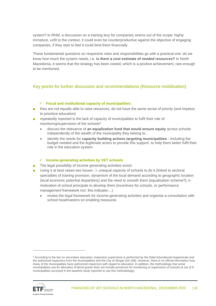system? In RNM, a discussion on a training levy for companies seems out of the scope: highly immature, unfit to the context, it could even be counterproductive against the objective of engaging companies, if they start to feel it could bind them financially.

These fundamental questions on respective roles and responsibilities go with a practical one: do we know how much the system needs, i.e. **is there a cost estimate of needed resources?** In North Macedonia, it seems that the strategy has been costed, which is a positive achievement, rare enough to be mentioned.

#### Key points for further discussion and recommendations (Resource mobilisation)

#### ✓ **Fiscal and institutional capacity of municipalities:**

- they are not equally able to raise resources, do not have the same sense of priority (and impetus to prioritize education)
- repeatedly reported is the lack of capacity of municipalities to fulfil their role of monitoring/supervision of the schools<sup>6</sup>
	- discuss the relevance of **an equalization fund that would ensure equity** across schools independently of the wealth of the municipality they belong to,
	- identify the needs for **capacity building actions targeting municipalities** including the budget needed and the legitimate actors to provide this support- to help them better fulfil their role in the education system.

#### ✓ **Income-generating activities by VET schools**

- The legal possibility of income generating activities exists
- Using it at best raises two issues : i- unequal capacity of schools to do it (linked to sectoral specialties of training provision, dynamism of the local demand according to geographic location (local economic potential disparities)) and the need to smooth them (equalisation scheme?); iimotivation of school principals to develop them (incentives for schools, or performance management framework incl. this indicator…)
	- review the legal framework for income-generating activities and organise a consultation with school headmasters on enabling measures

<sup>&</sup>lt;sup>6</sup> According to the law on secondary education, inspection supervision is performed by the State Educational Inspectorate and the authorized inspectors from the municipalities and the City of Skopje (Art.108). However, there is no official information how many of the municipalities have authorized inspectors with regard to education. In addition, the methodology that some municipalities use for allocation of block grants does not include provisions for monitoring or supervision of schools (4 out of 9 municipalities surveyed in the baseline study reported to use this methodology).

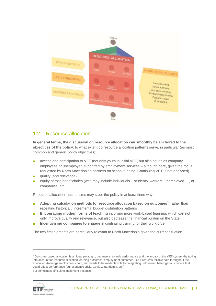

# <span id="page-10-0"></span>1.2 Resource allocation

**In general terms, the discussion on resource allocation can smoothly be anchored to the objectives of the policy**: to what extent do resource allocation patterns serve, in particular (as most common and generic policy objectives):

- access and participation to VET (not only youth in initial VET, but also adults as company employees or unemployed supported by employment services – although here, given the focus requested by North Macedonian partners on school funding, Continuing VET is not analysed)
- quality (and relevance)
- equity across beneficiaries (who may include individuals students, workers, unemployed...-, or companies, etc.)

Resource allocation mechanisms may steer the policy in at least three ways:

- Adopting calculation methods for resource allocation based on outcomes<sup>7</sup>, rather than repeating historical / incremental budget distribution patterns
- **Encouraging modern forms of teaching** involving more work-based learning, which can not only improve quality and relevance, but also decrease the financial burden on the State
- **Incentivising companies to engage** in continuing training for their workforce

The two first elements are particularly relevant to North Macedonia given the current situation.

but sometimes difficult to implement because



<sup>&</sup>lt;sup>7</sup> Outcome-based allocation is an ideal paradigm, because it rewards performance and the impact of the VET system (by taking into account for resource allocation learning outcomes, employment outcomes. But it requires reliable data throughout the education -training- employment chain, and needs to be made flexible for integrating unforeseen heterogenous factors that could affect performance (eg: economic crisis, Covid19 pandemia, etc.)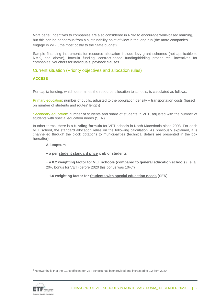*Nota bene*: Incentives to companies are also considered in RNM to encourage work-based learning, but this can be dangerous from a sustainability point of view in the long run (the more companies engage in WBL, the most costly to the State budget)

Sample financing instruments for resource allocation include levy-grant schemes (not applicable to NMK, see above), formula funding, contract-based funding/bidding procedures, incentives for companies, vouchers for individuals, payback clauses…

#### Current situation (Priority objectives and allocation rules)

#### **ACCESS**

Per capita funding, which determines the resource allocation to schools, is calculated as follows:

Primary education: number of pupils, adjusted to the population density + transportation costs (based on number of students and routes' length)

Secondary education: number of students and share of students in VET, adjusted with the number of students with special education needs (SEN)

In other terms, there is a **funding formula** for VET schools in North Macedonia since 2008. For each VET school, the standard allocation relies on the following calculation. As previously explained, it is channelled through the block dotations to municipalities (technical details are presented in the box hereafter):

#### **A lumpsum**

**+ a per student standard price x nb of students** 

**+ a 0.2 weighting factor for VET schools (compared to general education schools)** i.e. a 20% bonus for VET (before 2020 this bonus was 10%<sup>8</sup>)

**+ 1.0 weighting factor for Students with special education needs (SEN)**

**<sup>8</sup>** Noteworthy is that the 0.1 coefficient for VET schools has been revised and increased to 0.2 from 2020.

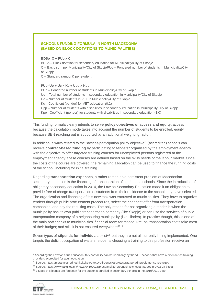#### **SCHOOLS FUNDING FORMULA IN NORTH MACEDONIA (BASED ON BLOCK DOTATIONS TO MUNICIPALITIES)**

#### **BDSo=O + PUo x C**

BDSo – Block dotation for secondary education for Municipality/City of Skopje

O – Basic sum per Municipality/City of SkopjePUo – Pondered number of students in Municipality/City of Skopje

C – Standard (amount) per student

#### **PUo=Uo + Uc x Kc + Upp x Kpp**

PUo – Pondered number of students in Municipality/City of Skopje

Uo – Total number of students in secondary education in Municipality/City of Skopje

Uc – Number of students in VET in Municipality/City of Skopje

Kc – Coefficient (ponder) for VET education (0.2)

Upp – Number of students with disabilities in secondary education in Municipality/City of Skopje

Kpp - Coefficient (ponder) for students with disabilities in secondary education (1.0)

This funding formula clearly intends to serve **policy objectives of access and equity**: access because the calculation mode takes into account the number of students to be enrolled, equity because SEN reaching out is supported by an additional weighting factor.

In addition, always related to the "access/participation policy objective", (accredited) schools can receive **contract-based funding** by participating to tenders<sup>9</sup> organised by the employment agency with the objective to offer targeted training courses for unemployed persons registered at the employment agency; these courses are defined based on the skills needs of the labour market. Once the costs of the course are covered, the remaining allocation can be used to finance the running costs of the school, including for initial training.

Regarding **transportation expenses**, a rather remarkable persistent problem of Macedonian secondary education is the financing of transportation of students to schools. Since the introduction of obligatory secondary education in 2014, the Law on Secondary Education made it an obligation to provide free of charge transportation of students from their residence to the school they have selected. The organization and financing of this new task was entrusted to municipalities. They have to organize tenders through public procurement procedures, select the cheapest offer from transportation companies, and pay the resulting costs. The only reason for not organizing a tender is when the municipality has its own public transportation company (like Skopje) or can use the services of public transportation company of a neighbouring municipality (like Illinden). In practice though, this is one of the main bottlenecks to municipalities' financial room for manoeuvre, as transportation costs take most of their budget; and still, it is not ensured everywhere<sup>1011</sup>.

Seven types of **stipends for individuals** exist<sup>12</sup>, but they are not all currently being implemented. One targets the deficit occupation of waiters: students choosing a training to this profession receive an

<sup>&</sup>lt;sup>12</sup> 7 types of stipends are foreseen for the students enrolled in secondary schools in the 2019/2020 year:



<sup>9</sup> According the Law for Adult education, this possibility can be used only by the VET schools that have a "license" as training providers accredited for adult education

<sup>&</sup>lt;sup>10</sup> Source: https://meta.mk/srednoshkoltsite-od-tetovo-i-deneska-protestiraa-poradi-problemot-so-prevozot/

<sup>11</sup> Source: https://www.fakulteti.mk/news/04102018/prespanskite-srednoshkolci-ostanaa-bez-prevoz-za-bitola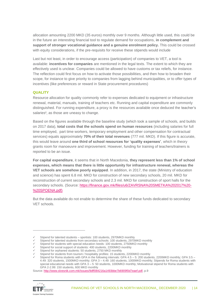allocation amounting 2200 MKD (35 euros) monthly over 9 months. Although little used, this could be in the future an interesting financial tool to regulate demand for occupations, **in complement and support of stronger vocational guidance and a genuine enrolment policy.** This could be crossed with equity considerations, if the pre-requisits for receive these stipends would include

Last but not least, in order to encourage access (participation) of companies to VET, a tool is available: **incentives for companies** are mentioned in the legal texts. The extent to which they are effectively used is unclear. Companies could be allowed to have customs or tax reliefs, for instance. The reflection could first focus on how to activate those possibilities, and then how to broaden their scope, for instance to give priority to companies from lagging behind municipalities, or to offer types of incentives (like preferences or reward in State procurement procedures)

#### **QUALITY**

Resource allocation for quality commonly refer to expenses dedicated to equipment or infrastructure renewal, material, manuals, training of teachers etc. Running and capital expenditure are commonly distinguished. For running expenditure, a proxy is the resources available once deduced the teacher's salaries<sup>ii</sup>, as those are uneasy to change.

Based on the figures available through the baseline study (which took a sample of schools, and builds on 2017 data), **total costs that the schools spend on human resources** (including salaries for full time employed, part time workers, temporary employment and other compensation for contractual services) equals approximately **70% of their total revenues** (777 mil. MKD). If this figure is accurate, this would leave around **one third of school resources for 'quality expenses'**, which in theory grants room for manoeuvre and improvement. However, funding for training of teachers/trainers is reported to be an issue.

**For capital expenditure**, it seems that in North Macedonia, **they represent less than 1% of school expenses, which means that there is little opportunity for infrastructure renewal, whereas the VET schools are somehow poorly equipped**. In addition, in 2017, the state (Ministry of education and science) has spent 6.8 mil. MKD for construction of new secondary schools, 20 mil. MKD for reconstruction of current secondary schools and 2.3 mil. MKD for construction of sport halls for the secondary schools. (Source: [https://finance.gov.mk/files/u6/ZAVRSNA%20SMETKA%202017%20-](https://finance.gov.mk/files/u6/ZAVRSNA%20SMETKA%202017%20-%20SPOENA.pdf) [%20SPOENA.pdf\)](https://finance.gov.mk/files/u6/ZAVRSNA%20SMETKA%202017%20-%20SPOENA.pdf)

But the data available do not enable to determine the share of these funds dedicated to secondary VET schools.

Source[: http://www.slvesnik.com.mk/Issues/9dff084216a1493bbe7b6909f0d7eaef.pdf,](http://www.slvesnik.com.mk/Issues/9dff084216a1493bbe7b6909f0d7eaef.pdf) p.9



Stipend for talented students – sportists: 100 students, 2970MKD monthly

Stipend for talented students from secondary schools: 100 students, 2970MKD monthly

Stipend for students with special education needs: 100 students, 2750MKD monthly

Stipend for social support of students: 400 students, 2200MKD monthly

Stipend for orphaned students: 50 students, 2750 MKD monthly

Stipend for students from tourism / hospitality profiles: 15 students, 2200MKD monthly

Stipend for Roma students with GPA in the following intervals: GPA 4.5 – 5: 200 students, 2200MKD monthly; GPA 3.5 – 4.49: 320 students, 1500MKD monthly; GPA 3 – 4.49: 160 students, 1000MKD monthly; Stipends for Roma students with special educational needs with GPA  $3 - 5$ : 50 students, 1000MKD monthly; Motivational stipend for Roma students with GPA 2-2.99: 150 students, 600 MKD monthly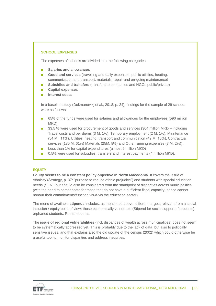#### **SCHOOL EXPENSES**

The expenses of schools are divided into the following categories:

- **Salaries and allowances**
- **Good and services** (travelling and daily expenses, public utilities, heating, communication and transport, materials, repair and on-going maintenance)
- **Subsidies and transfers** (transfers to companies and NGOs public/private)
- **Capital expenses**
- **Interest costs**

In a baseline study (Dokmanovikj et al., 2018, p. 24), findings for the sample of 29 schools were as follows:

- 65% of the funds were used for salaries and allowances for the employees (590 million MKD),
- 33,5 % were used for procurement of goods and services (304 million MKD including Travel costs and per diems (3 M, 1%), Temporary employment (2 M, 1%), Maintenance (34 M , 11%), Utilities, heating, transport and communication (49 M, 16%), Cоntractual services (185 M, 61%) Materials (25M, 8%) and Other running expenses (7 M, 2%)),
- Less than 1% for capital expenditures (almost 9 million MKD)
- 0,5% were used for subsidies, transfers and interest payments (4 million MKD).

#### **EQUITY**

**Equity seems to be a constant policy objective in North Macedonia**. It covers the issue of ethnicity (Strategy, p. 37: "purpose to reduce ethnic prejudice") and students with special education needs (SEN), but should also be considered from the standpoint of disparities across municipalities (with the need to compensate for those that do not have a sufficient fiscal capacity, hence cannot honour their commitments/function vis-à-vis the education sector).

The menu of available **stipends** includes, as mentioned above, different targets relevant from a social inclusion / equity point of view: those economically vulnerable (Stipend for social support of students), orphaned students, Roma students.

The **issue of regional vulnerabilities** (incl. disparities of wealth across municipalities) does not seem to be systematically addressed yet. This is probably due to the lack of data, but also to politically sensitive issues, and that explains also the old update of the census (2002) which could otherwise be a useful tool to monitor disparities and address inequities.

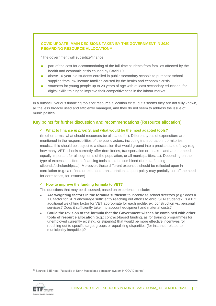#### **COVID UPDATE: MAIN DECISIONS TAKEN BY THE GOVERNMENT IN 2020 REGARDING RESOURCE ALLOCATION<sup>13</sup>**

"The government will subsidize/finance:

- part of the cost for accommodating of the full-time students from families affected by the health and economic crisis caused by Covid 19
- above 16-year-old students enrolled in public secondary schools to purchase school supplies from low-income families caused by the health and economic crisis
- vouchers for young people up to 29 years of age with at least secondary education, for digital skills training to improve their competitiveness in the labour market.

In a nutshell, various financing tools for resource allocation exist, but it seems they are not fully known, all the less broadly used and efficiently managed, and they do not seem to address the issue of municipalities.

#### Key points for further discussion and recommendations (Resource allocation)

#### ✓ **What to finance** *in priority***, and what would be the most adapted tools?**

(In other terms: what should resources be allocated for). Different types of expenditure are mentioned in the responsibilities of the public actors, including transportation, dormitories, meals… this should be subject to a discussion that would ground into a precise state of play (e.g.: how many VET schools currently offer dormitories, transportation or meals – and are the needs equally important for all segments of the population, or all municipalities, ...). Depending on the type of expenses, different financing tools could be combined (formula funding, stipends/scholarships…). Moreover, these different expenses should be reflected upon in correlation (e.g.: a refined or extended transportation support policy may partially set-off the need for dormitories, for instance)

#### ✓ **How to improve the funding formula to VET?**

The questions that may be discussed, based on experience, include:

- **Are weighting factors in the formula sufficient** to incentivize school directors (e.g.: does a 1.0 factor for SEN encourage sufficiently reaching out efforts to enrol SEN students?; is a 0.2 additional weighting factor for VET appropriate for each profile, ex. construction vs. personal services? Does it sufficiently take into account equipment and material costs?
- **Could the revision of the formula that the Government wishes be combined with other tools of resource allocation** (e.g.: contract-based funding, as for training programmes for unemployed currently existing, or stipends) that would be more effective incentives for reaching out to specific target groups or equalizing disparities (for instance related to municipality inequities)?

<sup>&</sup>lt;sup>13</sup> Source: E4E note, 'Republic of North Macedonia education system in COVID period'

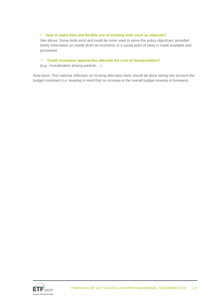#### ✓ **How to make best and flexible use of existing tools such as stipends?**

See above. Some tools exist and could be more used to serve the policy objectives, provided timely information on needs (from an economic or a social point of view) is made available and processed.

#### ✓ **Could innovative approaches alleviate the cost of transportation?**

(e.g.: mutualisation among parents,…)

*Nota bene*: This national reflection on revising allocation tools should be done taking into account the budget constraint (i.e. keeping in mind that no increase in the overall budget envelop is foreseen).

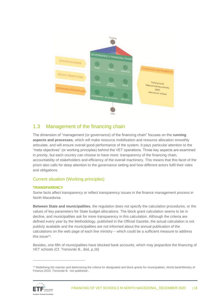

# <span id="page-17-0"></span>1.3 Management of the financing chain

The dimension of "management (or governance) of the financing chain" focuses on the **running aspects and processes**, which will make resource mobilisation and resource allocation smoothly articulate, and will ensure overall good performance of the system. It pays particular attention to the "meta objectives" (or working principles) behind the VET operations. Three key aspects are examined in priority, but each country can choose to have more: transparency of the financing chain, accountability of stakeholders and efficiency of the overall machinery. This means that this facet of the prism also calls for deep attention to the governance setting and how different actors fulfil their roles and obligations.

#### Current situation (Working principles)

#### **TRANSPARENCY**

Some facts affect transparency or reflect transparency issues in the finance management process in North Macedonia.

**Between State and municipalities**, the regulation does not specify the calculation procedures, or the values of key parameters for State budget allocations. The block grant calculation seems to be in decline, and municipalities ask for more transparency in this calculation. Although the criteria are defined every year by the Methodology, published in the Official Gazette, the actual calculation is not publicly available and the municipalities are not informed about the annual publication of the calculations on the web page of each line ministry – which could be a sufficient measure to address this issue<sup>14</sup>.

Besides, one fifth of municipalities have blocked bank accounts, which may jeopardize the financing of VET schools (Cf. Trenovski B., ibid, *p.16)*

<sup>&</sup>lt;sup>14</sup> Redefining the manner and determining the criteria for designated and block grants for municipalities, World bank/Ministry of Finance,2019, Trenovski B. -not published-.

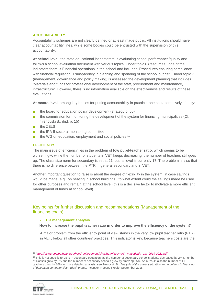#### **ACCOUNTABILITY**

Accountability schemes are not clearly defined or at least made public. All institutions should have clear accountability lines, while some bodies could be entrusted with the supervision of this accountability.

**At school level**, the state educational inspectorate is evaluating school performance/quality and follows a school evaluation document with various topics. Under topic 6 (resources), one of the indicators there is Financial operations in the school and includes 'Procedures ensuring compliance with financial regulation; Transparency in planning and spending of the school budget'. Under topic 7 (management, governance and policy making) is assessed the development planning that includes 'Materials and funds for professional development of the staff, procurement and maintenance, infrastructure'. However, there is no information available on the effectiveness and results of these evaluations.

**At macro level**, among key bodies for putting accountability in practice, one could tentatively identify:

- the board for education policy development (strategy p. 60)
- the commission for monitoring the development of the system for financing municipalities (Cf. Trenovski B., ibid, p. 15)
- the ZELS
- the IPA II sectoral monitoring committee
- the WG on education, employment and social policies <sup>15</sup>

#### **EFFICIENCY**

The main issue of efficiency lies in the problem of **low pupil-teacher ratio**, which seems to be worsening<sup>16</sup>: while the number of students in VET keeps decreasing, the number of teachers still goes up. The class size norm for secondary is set at 21, but its level is currently 17. The problem is also that there is no difference between the PTR in general secondary and in VET.

Another important question to raise is about the degree of flexibility in the system: in case savings would be made (e.g.: on heating in school buildings), to what extent could the savings made be used for other purposes and remain at the school level (this is a decisive factor to motivate a more efficient management of funds at school level).

#### Key points for further discussion and recommendations (Management of the financing chain)

#### ✓ **HR management analysis**

**How to increase the pupil teacher ratio in order to improve the efficiency of the system?** 

A major problem from the efficiency point of view stands in the very low pupil teacher ratio (PTR) in VET, below all other countries' practices. This indicator is key, because teachers costs are the

<sup>&</sup>lt;sup>16</sup> This is not specific to VET: In secondary education, as the number of secondary school students decreased by 24%, number of classes grew by 8% and the number of secondary schools grew by amazing 25%. As a result, also the number of FTE teachers grew by 16% for more detailed analysis, see Trenovski B., *Analysis of the current situation and problems in financing of delegated competencies - Block grants*, Inception Report, Skopje, September 2018



<sup>15</sup> *[https://ec.europa.eu/neighbourhood-enlargement/sites/near/files/north\\_macedonia\\_erp\\_2019-2021.pdf](https://ec.europa.eu/neighbourhood-enlargement/sites/near/files/north_macedonia_erp_2019-2021.pdf)*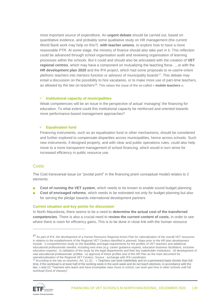most important source of expenditure. An **urgent debate** should be carried out, based on quantitative evidence, and probably some qualitative study on HR management (the current World Bank work may help on this?) **with teacher unions**, to explore how to have a more reasonable PTR. At some stage, the ministry of finance should also take part in it. This reflection could be advanced through school organisation audit and reviewing organisation of learning processes within the schools. But it could and should also be articulated with the creation of **VET regional centres**, which may have a component on mutualizing the teaching force…, or with the **HR development plan 2020** and the IPA project, which had some proposals to re-use/re-orient plethoric teachers into mentors function or advisors of municipality boards<sup>17</sup>. This debate may entail a discussion on the possibility to hire vacataires, or to make more use of part-time teachers, as allowed by the law on teachers<sup>18</sup>. This raises the issue of the so-called « **mobile teachers** ».

#### ✓ **Institutional capacity of municipalities**

Weak competencies will be an issue in the perspective of actual 'managing' the financing for education. To what extent could this institutional capacity be reinforced and oriented towards more performance-based management approaches?

#### ✓ **Equalisation fund**

Financing instruments, such as an equalisation fund or other mechanisms, should be considered and further explored to compensate disparities across municipalities, hence across schools. Such new instruments, if designed properly, and with clear and public operations rules, could also help move to a more transparent management of school financing, which would in turn strive for increased efficiency in public resource use.

#### **Costs**

The Cost transversal issue (or "pivotal point" in the financing prism conceptual model) relates to 2 elements:

- Cost of running the VET system, which needs to be known to enable sound budget planning
- **Cost of envisaged reforms**, which needs to be estimated not only for budget planning but also for serving the pledge towards international development partners

#### **Current situation and key points for discussion**

In North Macedonia, there seems to be a need to **determine the actual cost of the transferred competencies**. There is also a crucial need to **review the current content of costs**, in order to see where there is room for efficiency gains**.** This is to be done in close link with the human resource

 $18$  According to the law on teachers, Art. 11 (2) : « Teachers can work indefinitely and on a permanent basis shorter than fulltime, if the workload is at least half of the working week in the work week and do not teach electives, in accordance with the law. » and (3) "Teachers who teach and have incomplete class hours in school, can work part time in other schools until full workload (fund of classes)".



<sup>17</sup> As part of IPA, the development of a Human Resource Regional Action Plan for rationalization of the overall VET resources in relation to the establishment of the Regional VET Centers identified is planned. Steps prior to the HR plan development include : i) comprehensive study on the feasibility and legal requirements for the profiles of VET teachers and additional educational professionals needed, including new ones (e.g. career guidance experts, education business facilitators, inclusive education experts) ; ii) validation of the study by the legal departments and their key stakeholder institutions ; iii) development of new educational professionals' profiles ; iv) approval of these profiles and of the HR Plan as the main document for operationalisation of the Regional VET Centers. Source : exchange with IPA coordinator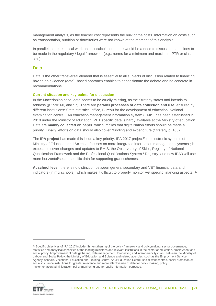management analysis, as the teacher cost represents the bulk of the costs. Information on costs such as transportation, nutrition or dormitories were not known at the moment of this analysis.

In parallel to the technical work on cost calculation, there would be a need to discuss the additions to be made in the regulatory / legal framework (e.g.: norms for a minimum and maximum PTR or class size)

#### Data

Data is the other transversal element that is essential to all subjects of discussion related to financing: having an evidence (data)- based approach enables to depassionate the debate and be concrete in recommendations.

#### **Current situation and key points for discussion**

In the Macedonian case, data seems to be cruelly missing, as the Strategy states and intends to address (p.159/160, and 57). There are **parallel processes of data collection and use**, ensured by different institutions: State statistical office, Bureau for the development of education, National examination centre... An education management information system (EMIS) has been established in 2010 under the Ministry of education. VET specific data is hardy available at the Ministry of education. Data are **mainly collected on paper,** which implies that digitalisation efforts should be made a priority. Finally, efforts on data should also cover "funding and expenditure (Strategy p. 160)

The **IPA project** has made this issue a key priority. IPA 2017 project<sup>19</sup> on electronic systems of Ministry of Education and Science focuses on more integrated information management systems ; it expects to cover changes and updates to EMIS, the Observatory of Skills, Registry of National Qualification Framework and the Professional Qualifications System / Registry, and new IPA3 will use more horizontal/sector specific data for supporting grant schemes.

**At school level**, there is no distinction between general secondary and VET financial data and indicators (in mix schools), which makes it difficult to properly monitor Vet specific financing aspects. <sup>20</sup>

<sup>&</sup>lt;sup>19</sup> Specific objectives of IPA 2017 include: Sstrengthening of the policy framework and policymaking, sector governance, statistics and analytical capacities of the leading ministries and relevant institutions in the sector of education, employment and social policy; Iimprovement of data gathering, data management, forecasting and interoperability in and between the Ministry of Labour and Social Policy, the Ministry of Education and Science and related agencies, such as the Employment Service Agency, schools, Vocational Education and Training Centre, Adult Education Centre, social work centres, social protection or social insurance institutions for greater relevance and more effective use of data for policy making, policy implementation/administration, policy monitoring and for public information purposes.

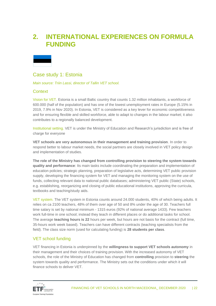# <span id="page-21-0"></span>**2. INTERNATIONAL EXPERIENCES ON FORMULA FUNDING**



## <span id="page-21-1"></span>Case study 1: Estonia

*Main source: Triin Lassi, director of Tallin VET school.*

#### Context

Vision for VET. Estonia is a small Baltic country that counts 1.32 million inhabitants, a workforce of 600.000 (half of the population) and has one of the lowest unemployment rates in Europe (5.15% in 2019, 7.9% in Nov 2020). In Estonia, VET is considered as a key lever for economic competitiveness and for ensuring flexible and skilled workforce, able to adapt to changes in the labour market; it also contributes to a regionally balanced development.

Institutional setting. VET is under the Ministry of Education and Research's jurisdiction and is free of charge for everyone

**VET schools are very autonomous in their management and training provision**. In order to respond better to labour market needs, the social partners are closely involved in VET policy design and implementation of studies.

**The role of the Ministry has changed from controlling provision to steering the system towards quality and performance**: Its main tasks include coordinating the preparation and implementation of education policies; strategic planning, preparation of legislative acts, determining VET public provision supply, developing the financing system for VET and managing the monitoring system on the use of funds, collecting relevant data to national public databases; administering VET public (State) schools, e.g. establishing, reorganizing and closing of public educational institutions, approving the curricula, textbooks and teaching/study aids.

VET system. The VET system in Estonia counts around 24.000 students, 40% of which being adults. It relies on ca 2100 teachers, 48% of them over age of 50 and 8% under the age of 30. Teachers full time salary is set by national minimum - 1315 euros (92% of national average 1433). Few teachers work full-time in one school; instead they teach in different places or do additional tasks for school. The average **teaching hours is 22** hours per week, but hours are not basis for the contract (full time, 35-hours work week based). Teachers can have different contracts (teaching specialists from the field). The class size norm (used for calculating funding) is **28 students per class**.

## VET school funding

VET financing in Estonia is underpinned by the **willingness to support VET schools autonomy** in their management and their choices of training provision. With the increased autonomy of VET schools, the role of the Ministry of Education has changed from **controlling** provision to **steering** the system towards quality and performance. The Ministry sets out the conditions under which it will finance schools to deliver VET.

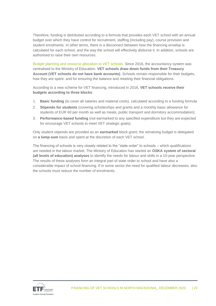Therefore, funding is distributed according to a formula that provides each VET school with an annual budget over which they have control for recruitment, staffing (including pay), course provision and student enrolments. In other terms, there is a disconnect between how the financing envelop is calculated for each school, and the way the school will effectively disburse it. In addition, schools are authorised to raise their own resources.

Budget planning and resource allocation to VET schools. Since 2016, the accountancy system was centralised to the Ministry of Education. **VET schools draw down funds from their Treasury Account (VET schools do not have bank accounts)**. Schools remain responsible for their budgets, how they are spent- and for ensuring the balance and meeting their financial obligations.

According to a new scheme for VET financing, introduced in 2018, **VET schools receive their budgets according to three blocks**:

- 1. **Basic funding** (to cover all salaries and material costs), calculated according to a funding formula
- 2. **Stipends for students** (covering scholarships and grants and a monthly basic allowance for students of EUR 60 per month as well as meals, public transport and dormitory accommodation);
- 3. **Performance-based funding** (not earmarked to any specified expenditure but they are expected for encourage VET schools to meet VET strategic goals).

Only student stipends are provided as an **earmarked** block grant; the remaining budget is delegated on **a lump-sum** basis and spent at the discretion of each VET school.

The financing of schools is very closely related to the "state order" to schools – which qualifications are needed in the labour market. The Ministry of Education has started an **OSKA system of sectoral (all levels of education) analyses** to identify the needs for labour and skills in a 10-year perspective. The results of these analyses form an integral part of state order to school and have also a considerable impact of school financing. If in some sector the need for qualified labour decreases, also the schools must reduce the number of enrolments.

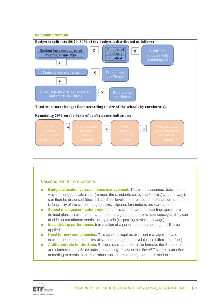#### **The funding formula**



#### Lessons learnt from Estonia

- **Budget allocation versus finance management.** There is a disconnect between the way the budget is calculated (to meet the standards set by the Ministry) and the way it can then be disbursed (decided at school level, in the respect of national norms – there is fungibility of the school budget) – only stipends for students are earmarked.
- **School management autonomy:** Therefore, schools are not reporting against predefined plans on expenses – and their management autonomy is encouraged: they can decide on recruitment needs, salary levels (respecting a minimum wage) etc.
- **Incentivizing performance**. Introduction of a performance component still to be applied-
- **Need for new competencies.** This scheme requires excellent management and entrepreneurial competencies at school management level (hence different profiles)
- **A different role for the State.** Besides (and up-stream) the formula, the State orients and dimensions, by State order, the training provision that the VET schools can offer, according to needs, based on robust tools for monitoring the labour market.

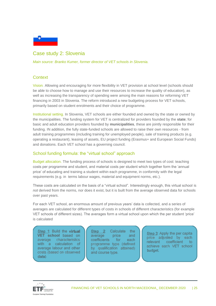

# <span id="page-24-0"></span>Case study 2: Slovenia

*Main source: Branko Kumer, former director of VET schools in Slovenia.*

#### **Context**

Vision*.* Allowing and encouraging for more flexibility in VET provision at school level (schools should be able to choose how to manage and use their resources to increase the quality of education), as well as increasing the transparency of spending were among the main reasons for reforming VET financing in 2003 in Slovenia. The reform introduced a new budgeting process for VET schools, primarily based on student enrolments and their choice of programme.

Institutional setting. In Slovenia, VET schools are either founded and owned by the state or owned by the municipalities. The funding system for VET is centralized for providers founded by the **state**; for basic and adult education providers founded by **municipalities**, these are jointly responsible for their funding. IN addition, the fully state-funded schools are allowed to raise their own resources - from adult training programmes (including training for unemployed people), sale of training products (e.g. operating a restaurant), leasing of assets, EU project funding (Erasmus+ and European Social Funds) and donations. Each VET school has a governing council.

#### School funding formula: the "virtual school" approach

Budget allocation. The funding process of schools is designed to meet two types of cost: teaching costs per programme and student, and material costs per student which together form the 'annual price' of educating and training a student within each programme, in conformity with the legal requirements (e.g. in terms labour wages, material and equipment norms, etc.).

These costs are calculated on the basis of a "virtual school". Interestingly enough, this virtual school is *not* derived from the norms, nor does it exist, but it is built from the average observed data for schools over past years.

For each VET school, an enormous amount of previous years' data is collected, and a series of averages are calculated for different types of costs in schools of different characteristics (for example VET schools of different sizes). The averages form a virtual school upon which the per student 'price' is calculated

Step 1: Build the virtual VET school based on average characteristics with a calculation of average labour and other costs (based on observed data)

Step 2: Calculate the price and average coefficients for each programme type (defined by qualification attained) and course type.

Step 3: Apply the per capita price adiusted by each relevant coefficient to achieve each VET school budget.

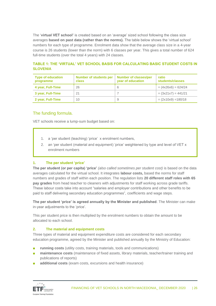The '**virtual VET school'** is created based on an 'average' sized school following the class size averages **based on past data (rather than the norms).** The table below shows the 'virtual school' numbers for each type of programme. Enrolment data show that the average class size in a 4-year course is 26 students (lower than the norm) with 6 classes per year. This gives a total number of 624 full-time students (over the total 4 years) with 24 classes.

#### **TABLE 1: THE 'VIRTUAL' VET SCHOOL BASIS FOR CALCULATING BASIC STUDENT COSTS IN SLOVENIA**

| <b>Type of education</b><br>programme | Number of students per   Number of classes/per<br>class | year of education | ratio<br>students/classes |
|---------------------------------------|---------------------------------------------------------|-------------------|---------------------------|
| 4 year, Full-Time                     | 26                                                      | 6                 | $= (4x26x6) = 624/24$     |
| 3 year, Full-Time                     | 21                                                      |                   | $= (3x21x7) = 441/21$     |
| 2 year, Full-Time                     | 10                                                      | 9                 | $= (2x10x9) = 180/18$     |

## The funding formula.

VET schools receive a lump-sum budget based on:

- 1. a 'per student (teaching) 'price' x enrolment numbers,
- 2. an 'per student (material and equipment) 'price' weightened by type and level of VET x enrolment numbers

#### **1. The per student 'price'**

**The per student (or per capita) 'price'** *(also called sometimes per student cost)* is based on the data averages calculated for the virtual school. It integrates **labour costs,** based the norms for staff numbers and grades of staff within each position. The regulation lists **20 different staff roles with 65 pay grades** from head teacher to cleaners with adjustments for staff working across grade tariffs. These labour costs take into account "salaries and employer contributions and other benefits to be paid to staff delivering secondary education programmes", coefficients and wage steps.

**The per student 'price' is agreed annually by the Minister and published**. The Minister can make in-year adjustments to the 'price'.

This per student price is then multiplied by the enrolment numbers to obtain the amount to be allocated to each school.

#### **2. The material and equipment costs**

Three types of material and equipment expenditure costs are considered for each secondary education programme, agreed by the Minister and published annually by the Ministry of Education:

- *running costs* (utility costs, training materials, tools and communications)
- maintenance costs (maintenance of fixed assets, library materials, teacher/trainer training and publications of reports)
- **additional costs** (exam costs, excursions and health insurance)

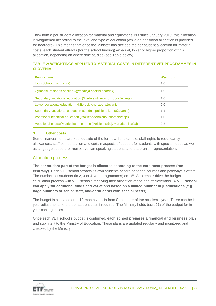They form a per student allocation for material and equipment. But since January 2019, this allocation is weightened according to the level and type of education (while an additional allocation is provided for boarders). This means that once the Minister has decided the per student allocation for material costs, each student attracts (for the school funding) an equal, lower or higher proportion of this allocation, depending on where s/he studies (see Table below).

#### **TABLE 2: WEIGHTINGS APPLIED TO MATERIAL COSTS IN DIFFERENT VET PROGRAMMES IN SLOVENIA**

| <b>Programme</b>                                                           | Weighting |
|----------------------------------------------------------------------------|-----------|
| High School (gymnazija)                                                    | 1.0       |
| Gymnasium sports section (gymnazija športni oddelek)                       | 1.0       |
| Secondary vocational education (Srednje strokovno izobraževanje)           | 1.0       |
| Lower vocational education (Nižje poklicno izobraževanje)                  | 2.0       |
| Secondary vocational education (Srednje poklicno izobraževanje)            | 1.1       |
| Vocational technical education (Poklicno-tehnično izobraževanje)           | 1.0       |
| Vocational course/Matriculation course (Poklicni tečaj, Maturitetni tečaj) | 0.8       |

#### **3. Other costs:**

Some financial items are kept outside of the formula, for example, staff rights to redundancy allowances; staff compensation and certain aspects of support for students with special needs as well as language support for non-Slovenian speaking students and trade union representation.

#### Allocation process

**The per student part of the budget is allocated according to the enrolment process (run centrally).** Each VET school attracts its own students according to the courses and pathways it offers. The numbers of students (in 2, 3 or 4-year programmes) on  $15<sup>th</sup>$  September drive the budget calculation process with VET schools receiving their allocation at the end of November. **A VET school can apply for additional funds and variations based on a limited number of justifications (e.g. large numbers of senior staff, and/or students with special needs).** 

The budget is allocated on a 12-monthly basis from September of the academic year. There can be inyear adjustments to the per student cost if required. The Ministry holds back 2% of the budget for inyear contingencies.

Once each VET school's budget is confirmed**, each school prepares a financial and business plan**  and submits it to the Ministry of Education. These plans are updated regularly and monitored and checked by the Ministry.

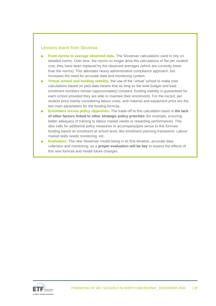#### Lessons learnt from Slovenia

- **From norms to average observed data.** The Slovenian calculations used to rely on detailed norms. Over time, the norms no longer drive the calculations of the per student cost, they have been replaced by the observed averages (which are currently lower than the norms). This alleviates heavy administrative compliance approach, but increases the need for accurate data and monitoring system.
- **Virtual school and funding stability.** the use of the 'virtual' school to make cost calculations based on past data means that as long as the total budget and total enrolment numbers remain (approximately) constant, funding stability is guaranteed for each school provided they are able to maintain their enrolments. For the record, per student price mainly considering labour costs, and material and equipment price are the two main parameters for the funding formula.
- **Enrolment versus policy objectives.** The trade-off to this calculation basis is the lack **of other factors linked to other strategic policy priorities** (for example, ensuring better adequacy of training to labour market needs or rewarding performance). This also calls for additional policy measures to accompany/give sense to this formula funding based on enrolment at school level, like enrolment planning framework, Labour market skills needs monitoring, etc.
- **Evaluation.** The new Slovenian model being in its first iteration, accurate data collection and monitoring, as a **proper evaluation will be key** to assess the effects of this new formula and model future changes.

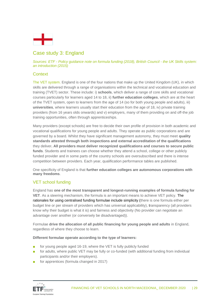

# <span id="page-28-0"></span>Case study 3: England

*Sources: ETF - Policy guidance note on formula funding (2018), British Council - the UK Skills system: an introduction (2015)*

#### **Context**

The VET system. England is one of the four nations that make up the United Kingdom (UK), in which skills are delivered through a range of organisations within the technical and vocational education and training (TVET) sector. These include: i) **schools**, which deliver a range of core skills and vocational courses particularly for learners aged 14 to 18, ii) **further education colleges**, which are at the heart of the TVET system, open to learners from the age of 14 (so for both young people and adults), iii) **universities**, where learners usually start their education from the age of 18, iv) private training providers (from 16 years olds onwards) and v) employers, many of them providing on and off-the job training opportunities, often through apprenticeships.

Many providers (except schools) are free to decide their own profile of provision in both academic and vocational qualifications for young people and adults. They operate as public corporations and are governed by a board. Whilst they have significant management autonomy, they must meet **quality standards attested through both inspections and external accreditation of the qualifications** they deliver**. All providers must deliver recognized qualifications and courses to secure public funds**. Students and trainees can choose whether they attend a school, college or other publicly funded provider and in some parts of the country schools are oversubscribed and there is intense competition between providers. Each year, qualification performance tables are published.

One specificity of England is that **further education colleges are autonomous corporations with many freedoms**.

## VET school funding

England has **one of the most transparent and longest-running examples of formula funding for VET**. As a steering mechanism, the formula is an important means to achieve VET policy. The rationales for using centralised funding formulae include simplicity (there is one formula either per budget line or per stream of providers which has universal applicability), transparency (all providers know why their budget is what it is) and fairness and objectivity (No provider can negotiate an advantage over another (or conversely be disadvantaged)).

Formulae **drive the allocation of all public financing for young people and adults** in England, regardless of where they choose to learn.

#### **Different formulae operate according to the type of learners:**

- for young people aged 16-19, where the VET is fully publicly funded
- for adults, where public VET may be fully or co-funded (with additional funding from individual participants and/or their employers).
- for apprentices (formula changed in 2017)

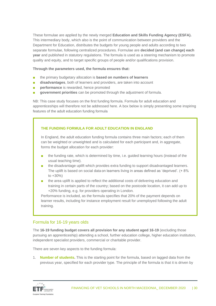These formulae are applied by the newly merged **Education and Skills Funding Agency (ESFA).**  This intermediary body, which also is the point of communication between providers and the Department for Education, distributes the budgets for young people and adults according to two separate formulae, following centralized procedures. Formulae are **decided (and can change) each year** and published in statutory regulations. The formula is used as a steering mechanism to promote quality and equity, and to target specific groups of people and/or qualifications provision.

#### **Through the parameters used, the formula ensures that:**

- the primary budgetary allocation is **based on numbers of learners**
- **disadvantages**, both of learners and providers, are taken into account
- **performance** is rewarded, hence promoted
- **government priorities** can be promoted through the adjustment of formula.

NB: This case study focuses on the first funding formula. Formula for adult education and apprenticeships will therefore not be addressed here. A box below is simply presenting some inspiring features of the adult education funding formula

#### **THE FUNDING FORMULA FOR ADULT EDUCATION IN ENGLAND**

In England, the adult education funding formula contains three main factors; each of them can be weighted or unweighted and is calculated for each participant and, in aggregate, forms the budget allocation for each provider:

- the funding rate, which is determined by time, i.e. guided learning hours (instead of the usual teaching time).
- the disadvantage uplift which provides extra funding to support disadvantaged learners. The uplift is based on social data on learners living in areas defined as 'deprived'. (+ 8% to +30%)
- the area uplift is applied to reflect the additional costs of delivering education and training in certain parts of the country; based on the postcode location, it can add up to +20% funding, e.g. for providers operating in London.

Performance is included, as the formula specifies that 20% of the payment depends on learner results, including for instance employment result for unemployed following the adult training.

#### Formula for 16-19 years olds

The **16-19 funding budget covers all provision for any student aged 16-19** (excluding those pursuing an apprenticeship) attending a school, further education college, higher education institution, independent specialist providers, commercial or charitable provider.

There are seven key aspects to the funding formula:

1. **Number of students.** This is the starting point for the formula, based on lagged data from the previous year, specified for each provider type. The principle of the formula is that it is driven by

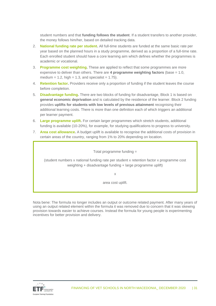student numbers and that **funding follows the student**. If a student transfers to another provider, the money follows him/her, based on detailed tracking data.

- 2. **National funding rate per student.** All full-time students are funded at the same basic rate per year based on the planned hours in a study programme, derived as a proportion of a full-time rate. Each enrolled student should have a core learning aim which defines whether the programmes is academic or vocational.
- 3. **Programme cost weighting.** These are applied to reflect that some programmes are more expensive to deliver than others. There are **4 programme weighting factors** (base = 1.0, medium = 1.2, high = 1.3, and specialist = 1.75).
- 4. **Retention factor.** Providers receive only a proportion of funding if the student leaves the course before completion.
- 5. **Disadvantage funding.** There are two blocks of funding for disadvantage, Block 1 is based on **general economic deprivation** and is calculated by the residence of the learner. Block 2 funding provides **uplifts for students with low levels of previous attainment** recognising their additional learning costs. There is more than one definition each of which triggers an additional per learner payment.
- 6. **Large programme uplift.** For certain larger programmes which stretch students, additional funding is available (10-20%), for example, for studying qualifications to progress to university.
- 7. **Area cost allowance.** A budget uplift is available to recognise the additional costs of provision in certain areas of the country, ranging from 1% to 20% depending on location.

Total programme funding =

(student numbers x national funding rate per student x retention factor x programme cost weighting + disadvantage funding + large programme uplift)

x

area cost uplift.

Nota bene: The formula no longer includes an output or outcome related payment. After many years of using an output related element within the formula it was removed due to concern that it was skewing provision towards easier to achieve courses. Instead the formula for young people is experimenting incentives for better provision and delivery.

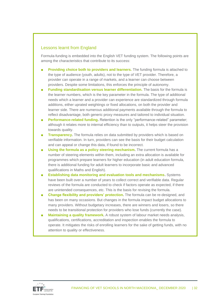#### Lessons learnt from England

Formula-funding is embedded into the English VET funding system. The following points are among the characteristics that contribute to its success:

- **Froviding choice both to providers and learners.** The funding formula is attached to the type of audience (youth, adults), not to the type of VET provider. Therefore, a provider can operate in a range of markets, and a learner can choose between providers. Despite some limitations, this enforces the principle of autonomy.
- **Funding standardisation versus learner differentiation.** The basis for the formula is the learner numbers, which is the key parameter in the formula. The type of additional needs which a learner and a provider can experience are standardized through formula additions, either uprated weightings or fixed allocations, on both the provider and learner side. There are numerous additional payments available through the formula to reflect disadvantage, both generic proxy measures and tailored to individual situation.
- **Performance-related funding.** Retention is the only "performance-related" parameter; although it relates more to internal efficiency than to outputs, it helps steer the provision towards quality.
- **Transparency.** The formula relies on data submitted by providers which is based on verifiable information. In turn, providers can see the basis for their budget calculation and can appeal or change this data, if found to be incorrect.
- **Using the formula as a policy steering mechanism.** The current formula has a number of steering elements within them, including an extra allocation is available for programmes which prepare learners for higher education (in adult education formula, there is additional funding for adult learners to incorporate basic and advanced qualifications in Maths and English).
- **Establishing data monitoring and evaluation tools and mechanisms.** Systems have been built over a number of years to collect correct and verifiable data. Regular reviews of the formula are conducted to check if factors operate as expected, if there are unintended consequences, etc. This is the basis for revising the formula.
- **Change flexibility and providers' protection.** The formula can be re-designed, and has been on many occasions. But changes in the formula impact budget allocations to many providers. Without budgetary increases, there are winners and losers, so there needs to be transitional protection for providers who lose funds (currently the case).
- **Maintaining a quality framework.** A robust system of labour market needs analysis, qualifications, certifications, accreditation and inspection enables the formula to operate. It mitigates the risks of enrolling learners for the sake of getting funds, with no attention to quality or effectiveness.

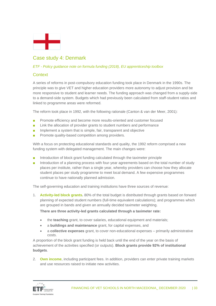

# <span id="page-32-0"></span>Case study 4: Denmark

#### *ETF - Policy guidance note on formula funding (2018), EU apprenticeship toolbox*

#### Context

A series of reforms in post-compulsory education funding took place in Denmark in the 1990s. The principle was to give VET and higher education providers more autonomy to adjust provision and be more responsive to student and learner needs. The funding approach was changed from a supply-side to a demand-side system. Budgets which had previously been calculated from staff-student ratios and linked to programme areas were reformed.

The reform took place in 1992, with the following rationale (Canton & van der Meer, 2001):

- Promote efficiency and become more results-oriented and customer focused
- Link the allocation of provider grants to student numbers and performance
- Implement a system that is simple, fair, transparent and objective
- Promote quality-based competition among providers.

With a focus on protecting educational standards and quality, the 1992 reform comprised a new funding system with delegated management. The main changes were:

- Introduction of block grant funding calculated through the taximeter principle
- Introduction of a planning process with four-year agreements based on the total number of study places per institute, rather than a single year, whereby providers can choose how they allocate student places per study programme to meet local demand. A few expensive programmes continue to have nationally planned admission.

The self-governing education and training institutions have three sources of revenue:

1. **Activity-led block grants.** 80% of the total budget is distributed through grants based on forward planning of expected student numbers (full-time equivalent calculations); and programmes which are grouped in bands and given an annually decided taximeter weighting.

**There are three activity-led grants calculated through a taximeter rate:** 

- the **teaching** grant, to cover salaries, educational equipment and materials;
- a **buildings and maintenance** grant, for capital expenses, and
- a **collective expenses** grant, to cover non-educational expenses primarily administrative costs.

A proportion of the block grant funding is held back until the end of the year on the basis of achievement of the activities specified (or outputs). **Block grants provide 92% of institutional budgets**.

2. **Own income**, including participant fees. In addition, providers can enter private training markets and use resources raised to initiate new activities.

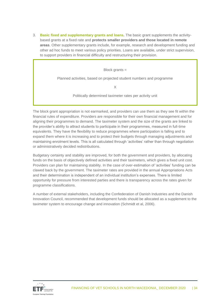3. **Basic fixed and supplementary grants and loans.** The basic grant supplements the activitybased grants at a fixed rate and **protects smaller providers and those located in remote areas**. Other supplementary grants include, for example, research and development funding and other ad hoc funds to meet various policy priorities. Loans are available, under strict supervision, to support providers in financial difficulty and restructuring their provision.

Block grants =

Planned activities, based on projected student numbers and programme

X

Politically determined taximeter rates per activity unit

The block grant appropriation is not earmarked, and providers can use them as they see fit within the financial rules of expenditure. Providers are responsible for their own financial management and for aligning their programmes to demand. The taximeter system and the size of the grants are linked to the provider's ability to attract students to participate in their programmes, measured in full-time equivalents. They have the flexibility to reduce programmes where participation is falling and to expand them where it is increasing and to protect their budgets through managing adjustments and maintaining enrolment levels. This is all calculated through 'activities' rather than through negotiation or administratively decided redistributions.

Budgetary certainty and stability are improved, for both the government and providers, by allocating funds on the basis of objectively defined activities and their taximeters, which gives a fixed unit cost. Providers can plan for maintaining stability. In the case of over-estimation of 'activities' funding can be clawed back by the government. The taximeter rates are provided in the annual Appropriations Acts and their determination is independent of an individual institution's expenses. There is limited opportunity for pressure from interested parties and there is transparency across the rates given for programme classifications.

A number of external stakeholders, including the Confederation of Danish Industries and the Danish Innovation Council, recommended that development funds should be allocated as a supplement to the taximeter system to encourage change and innovation (Schmidt et al, 2006).

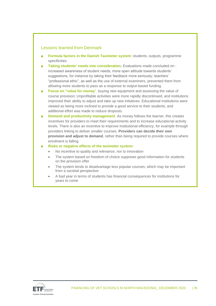#### Lessons learned from Denmark

- **Formula factors in the Danish Taximeter system:** students, outputs, programme specificities
- **Taking students' needs into consideration.** Evaluations made concluded on : increased awareness of student needs, more open attitude towards students' suggestions, for instance by taking their feedback more seriously; teachers' "professional ethic", as well as the use of external examiners, prevented them from allowing more students to pass as a response to output-based funding.
- **Focus on "value for money**". buying new equipment and assessing the value of course provision; Unprofitable activities were more rapidly discontinued, and institutions improved their ability to adjust and take up new initiatives. Educational institutions were viewed as being more inclined to provide a good service to their students, and additional effort was made to reduce dropouts.
- **Demand and productivity management.** As money follows the learner, this creates incentives for providers to meet their requirements and to increase educational activity levels. There is also an incentive to improve institutional efficiency, for example through providers linking to deliver smaller courses. **Providers can decide their own provision and adjust to demand**, rather than being required to provide courses where enrolment is falling.
- **Risks or negative effects of the taximeter system:** 
	- No incentive to quality and relevance, nor to innovation
	- The system based on freedom of choice supposes good information for students on the provision offer
	- The system tends to disadvantage less popular courses, which may be important from a societal perspective.
	- A bad year in terms of students has financial consequences for institutions for years to come

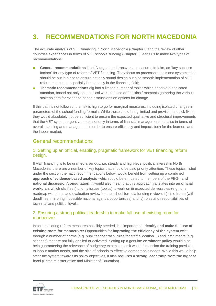# <span id="page-35-0"></span>**3. RECOMMENDATIONS FOR NORTH MACEDONIA**

The accurate analysis of VET financing in North Macedonia (Chapter I) and the review of other countries experiences in terms of VET schools' funding (Chapter II) leads us to make two types of recommendations:

- **General recommendations** identify urgent and transversal measures to take, as "key success" factors" for any type of reform of VET financing. They focus on processes, tools and systems that should be put in place to ensure not only sound design but also smooth implementation of VET reform measures, especially but not only in the financing field;
- **Thematic recommendations** dig into a limited number of topics which deserve a dedicated attention, based not only on technical work but also on "political" moments gathering the various stakeholders for evidence-based discussions on options for change.

If this path is not followed, the risk is high to go for marginal measures, including isolated changes in parameters of the school funding formula. While these could bring limited and provisional quick fixes, they would absolutely not be sufficient to ensure the expected qualitative and structural improvements that the VET system urgently needs, not only in terms of financial management, but also in terms of overall planning and management in order to ensure efficiency and impact, both for the learners and the labour market.

# <span id="page-35-1"></span>General recommendations

#### 1. Setting up an official, enabling, pragmatic framework for VET financing reform design.

If VET financing is to be granted a serious, i.e. steady and high-level political interest in North Macedonia, there are a number of key topics that should be paid priority attention. These topics, listed under the section thematic recommendations below, would benefit from setting up a combined **approach of evidence-based analysis** -which could be entrusted to members of the FEG-, **and national discussion/consultation**. It would also mean that this approach translates into an **official workplan**, which clarifies i) priority issues (topics) to work on ii) expected deliverables (e.g.: one roadmap with steps and evaluation review for the school formula funding review), iii) time frame (with deadlines, mirroring if possible national agenda opportunities) and iv) roles and responsibilities of technical and political levels.

#### 2. Ensuring a strong political leadership to make full use of existing room for manoeuvre.

Before exploring reform measures possibly needed, it is important to **identify and make full use of existing room for manoeuvre:** Opportunities for **improving the efficiency of the system** exist through a number of norms (e.g. pupil teacher ratio, rules for staff allocation…) and instruments (e.g. stipends) that are not fully applied or activated. Setting up a genuine **enrolment policy** would also help guaranteeing the relevance of budgetary expenses, as it would dimension the training provision to labour market needs, and the size of schools to effective demographic needs. While this would help steer the system towards its policy objectives, it also **requires a strong leadership from the highest level** (Prime minister office and Minister of Education).

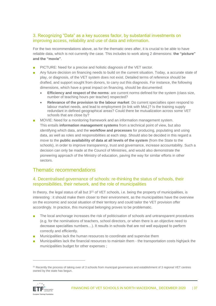#### 3. Recognizing "Data" as a key success factor, by substantial investments on improving access, reliability and use of data and information.

For the two recommendations above, as for the thematic ones after, it is crucial to be able to have reliable data, which is not currently the case. This includes to work along 2 dimensions: **the "picture" and the "movie"**.

- PICTURE: Need for a precise and holistic diagnosis of the VET sector.
- Any future decision on financing needs to build on the current situation. Today, a accurate state of play, or diagnosis, of the VET system does not exist. Detailed terms of reference should be drafted, and support sought from donors, to carry out this diagnosis. For instance, the following dimensions, which have a great impact on financing, should be documented:
	- **Efficiency and respect of the norms**: are current norms defined for the system (class size, number of teaching hours per teacher) respected?
	- **Relevance of the provision to the labour market**: Do current specialties open respond to labour market needs, and lead to employment (in link with MoL)? Is the training supply redundant in defined geographical areas? Could there be mutualization across some VET schools that are close by?
- MOVIE: Need for a monitoring framework and an information management system. This entails **information management systems** from a technical point of view, but also identifying which data, and the **workflow and processes** for producing, populating and using data, as well as roles and responsibilities at each step. Should also be decided in this regard a move to the **public availability of data at all levels of the system** (from the State to the schools), in order to improve transparency, trust and governance, increase accountability. Such a decision can only be made at the Council of Ministries, and would also demonstrate the pioneering approach of the Ministry of education, paving the way for similar efforts in other sectors.

## <span id="page-36-0"></span>Thematic recommendations

#### 4. Decentralised governance of schools: re-thinking the status of schools, their responsibilities, their network, and the role of municipalities

In theory, the legal status of all but  $3<sup>21</sup>$  of VET schools, i.e. being the property of municipalities, is interesting : it should make them closer to their environment, as the municipalities have the overview on the economic and social situation of their territory and could tailor the VET provision offer accordingly. In practice, this municipal belonging proves to be problematic.

- The local anchorage increases the risk of politicisation of schools and untransparent procedures (e.g. for the nominations of teachers, school directors, or when there is an objective need to decrease specialties numbers…). It results in schools that are not well equipped to perform correctly and efficiently.
- Municipalities lack the human resources to coordinate and supervise them
- Municipalities lack the financial resources to maintain them the transportation costs highjack the municipalities budget for other expenses ;

<sup>&</sup>lt;sup>21</sup> Recently the process of taking over of 3 schools from municipal governance and establishment of 3 regional VET centres owned by the state has begun.

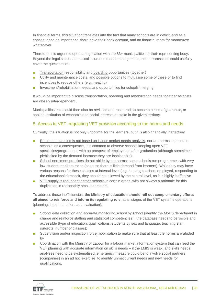In financial terms, this situation translates into the fact that many schools are in deficit, and as a consequence an importance share have their bank account, and no financial room for manoeuvre whatsoever.

Therefore, it is urgent to open a negotiation with the 83+ municipalities or their representing body. Beyond the legal status and critical issue of the debt management, these discussions could usefully cover the questions of:

- Transportation responsibility and boarding opportunities (together)
- Utility and maintenance costs, and possible options to mutualise some of these or to find incentives to reduce others (e.g.: heating)
- Investment/rehabilitation needs, and opportunities for schools' merging

It would be important to discuss transportation, boarding and rehabilitation needs together as costs are closely interdependent.

Municipalities' role could then also be revisited and recentred, to become a kind of guarantor, or spokes-institution of economic and social interests at stake in the given territory.

## 5. Access to VET: regulating VET provision according to the norms and needs

Currently, the situation is not only unoptimal for the learners, but it is also financially ineffective:

- Enrolment planning is not based on labour market needs analysis, nor are norms imposed to schools: as a consequence, it is common to observe schools keeping open VET specialties/programmes with no prospect of employment after graduation (although sometimes plebiscited by the demand because they are fashionable);
- School enrolment practices do not abide by the norms: some schools run programmes with very low student-teachers ratios (because there is little demand from learners). While they may have various reasons for these choices at internal level (e.g. keeping teachers employed, responding to the educational demand), they should not allowed by the central level, as it is highly ineffective
- VET supply is redundant across schools in certain areas, with not always a rationale for this duplication in reasonably small perimeters.

To address these inefficiencies, **the Ministry of education should roll out complementary efforts all aimed to reinforce and inform its regulating role,** at all stages of the VET systems operations (planning, implementation, and evaluation):

- School data collection and accurate monitoring school by school (identify the MoES department in charge and reinforce staffing and statistical competencies) : the database needs to be visible and accessible (type of education, qualifications, students by sex and language, teaching staff, subjects, number of classes);
- Supervision and/or inspection force mobilisation to make sure that at least the norms are abided by
- Coordination with the Ministry of Labour for a labour market information system that can feed the VET planning with accurate information on skills needs – if the LMIS is weak, and skills needs analyses need to be systematised, emergency measure could be to involve social partners (companies) in an ad hoc exercise to identify unmet current needs and new needs for qualifications.

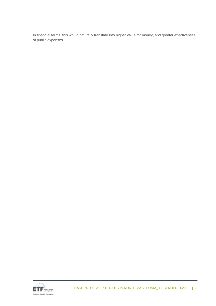In financial terms, this would naturally translate into higher value for money, and greater effectiveness of public expenses.

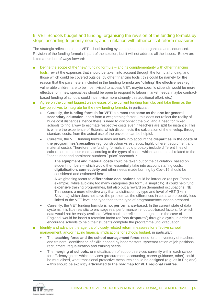#### 6. VET Schools budget and funding: organising the revision of the funding formula by steps, according to priority needs, and in relation with other critical reform measures

The strategic reflection on the VET school funding system needs to be organised and sequenced. Revision of the funding formula is part of the solution, but it will not address all the issues. Below are listed a number of ways forward:

- Define the scope of the "new" funding formula and its complementarity with other financing tools: revisit the expenses that should be taken into account through the formula funding, and those which could be covered outside, by other financing tools ; this could be namely for the reason that the parameters included in the funding formula are "diluting" the effectiveness (eg: if vulnerable children are to be incentivised to access VET, maybe specific stipends would be more effective; or if new specialties should be open to respond to labour market needs, maybe contractbased funding of schools could incentivise more strongly this additional effort, etc.)
- Agree on the current biggest weaknesses of the current funding formula, and take them as the key objectives to integrate for the new funding formula, in particular:
	- Currently, the **funding formula for VET is almost the same as the one for general secondary education**, apart from a weightening factor – this does not reflect the reality of huge cost disparities; hence there is need to disconnect the two, and a need for mixed schools to find a way to estimate respective costs even if teachers are split for instance. This is where the experience of Estonia, which disconnects the calculation of the envelop, through standard costs, from the actual use of the envelop, can be helpful.
	- Currently, the VET funding formula does not take into account the **disparities in the costs of the programmes/specialties** (eg; construction vs esthetics: highly different equipment and material costs). Therefore, the funding formula should probably include different lines of calculation, to be summed, according to the types of costs, which cannot be all related to the "per student and enrolment numbers " price' approach :

The **equipment and material costs** could be taken out of the calculation based on student numbers – which would then essentially take into account staffing costs; **digitalisation, connectivity** and other needs made burning by Covid19 should be considered and estimated here

A weightening factor to **differentiate occupations** could be introduce (as per Estonia example); while avoiding too many categories (for formula simplicity), it could help fund expensive training programmes, but also put a reward on demanded occupations. NB: This seems a more effective way than a distinction by type and level of VET (like in Slovenia) which does not solve the problem as the differences in costs are probably less linked to the VET level and type than to the type of programme/occupation prepared.

- Currently, the VET funding formula is not **performance**-based. In the current state of data systems, it is little realistic to envisage real performance i.e. output-based factors, for which data would not be easily available. What could be reflected though, as in the case of England, would be insert a retention factor (or "non **dropouts**") through a cycle, in order to encourage schools to help their students complete the programme until graduation
- Identify and advance the agenda of closely related reform measures for effective school management, and/or having financial implications for schools budget, in particular:
	- The **teaching force and the school management force**: need for an inventory of teachers and trainers, identification of skills needed by headmasters, systematization of job positions, recruitment, requalification and training needs
	- The **merging of schools**, or mutualisation of support services currently within each school for efficiency gains: which services (procurement, accounting, career guidance, other) could be mutualised, what transitional protective measures should be designed (e.g. as in England) – this should be explicitly **articulated to the roadmap for VET regional centres.**

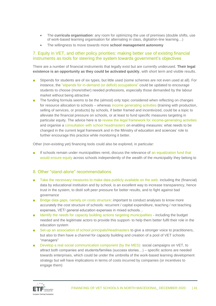- The **curricula organisation**: any room for optimizing the use of premises (double shifts, use of work-based learning organisation for alternating in class, digital/on-line learning…)
- The willingness to move towards more **school management autonomy**

#### 7. Equity in VET, and other policy priorities: making better use of existing financial instruments as tools for steering the system towards government's objectives

There are a number of financial instruments that legally exist but are currently underused. **Their legal existence is an opportunity as they could be activated quickly**, with short term and visible results.

- Stipends for students are of six types, but little used (some schemes are not even used at all). For instance, the "stipends for in-demand (or deficit) occupations" could be updated to encourage students to choose (more/other) needed professions, especially those demanded by the labour market without being attractive
- The funding formula seems to be the (almost) only topic considered when reflecting on changes for resource allocation to schools – whereas income generating activities (training with production, selling of services, or products) by schools, if better framed and incentivized, could be a topic to alleviate the financial pressure on schools, or at least to fund specific measures targeting in particular equity. The advice here is to review the legal framework for income-generating activities and organise a consultation with school headmasters on enabling measures: what needs to be changed in the current legal framework and in the Ministry of education and sciences' role to further encourage this practice while monitoring it better.

Other (non-existing yet) financing tools could also be explored, in particular:

■ If schools remain under municipalities remit, discuss the relevance of an equalization fund that would ensure equity across schools independently of the wealth of the municipality they belong to

#### 8. Other "stand-alone" recommendations

- Take the necessary measures to make data publicly available on the web, including the (financial) data by educational institution and by school, is an excellent way to increase transparency, hence trust in the system, to distil soft peer pressure for better results, and to fight against bad governance
- Bridge data gaps, namely on costs structure: important to conduct analyses to know more accurately the cost structure of schools: recurrent / capital expenditure, teaching / not teaching expenses, VET/ general education expenses in mixed schools…
- Identify the needs for capacity building actions targeting municipalities including the budget needed and the legitimate actors to provide this support- to help them better fulfil their role in the education system
- Set-up an association of school principals/Headmasters to give a stronger voice to practitioners, but also to then have a channel for capacity building and creation of a pool of VET schools "managers"
- Develop a real social communication component (by the MES): social campaigns on VET, to attract both companies and students/families (success stories…) – specific actions are needed towards enterprises, which could be under the umbrella of the work-based learning development strategy but will have implications in terms of costs incurred by companies (or incentives to engage them)

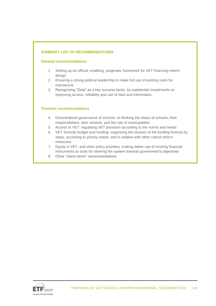#### **SUMMARY LIST OF RECOMMENDATIONS**

#### **General recommendations**

- 1. Setting up an official, enabling, pragmatic framework for VET financing reform design
- 2. Ensuring a strong political leadership to make full use of existing room for manoeuvre.
- 3. Recognizing "Data" as a key success factor, by substantial investments on improving access, reliability and use of data and information.

#### **Thematic recommendations**

- 4. Decentralised governance of schools: re-thinking the status of schools, their responsibilities, their network, and the role of municipalities
- 5. Access to VET: regulating VET provision according to the norms and needs
- 6. VET Schools budget and funding: organising the revision of the funding formula by steps, according to priority needs, and in relation with other critical reform measures
- 7. Equity in VET, and other policy priorities: making better use of existing financial instruments as tools for steering the system towards government's objectives
- 8. Other "stand-alone" recommendations

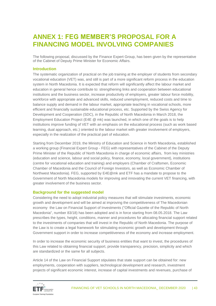# <span id="page-42-0"></span>**ANNEX 1: FEG MEMBER'S PROPOSAL FOR A FINANCING MODEL INVOLVING COMPANIES**

The following proposal, discussed by the Finance Expert Group, has been given by the representative of the Cabinet of Deputy Prime Minister for Economic Affairs.

#### <span id="page-42-1"></span>**Introduction**

The systematic organization of practical on the job training at the employer of students from secondary vocational education (VET) was, and still is part of a more significant reform process in the education system in North Macedonia. It is expected that reform will significantly affect the labour market and education in general hence contribute to: strengthening links and cooperation between educational institutions and the business sector, increase productivity of employers, greater labour force mobility, workforce with appropriate and advanced skills, reduced unemployment, reduced costs and time to balance supply and demand in the labour market, appropriate teaching in vocational schools, more efficient and financially sustainable educational process, etc. Supported by the Swiss Agency for Development and Cooperation (SDC), in the Republic of North Macedonia in March 2018, the Employment Education Project (E4E @ mk) was launched, in which one of the goals is to help institutions improve funding of VET with an emphasis on the educational process (such as work based learning, dual approach, etc.) oriented to the labour market with greater involvement of employers, especially in the realization of the practical part of education.

Starting from December 2019, the Ministry of Education and Science in North Macedonia, established a working group (Financial Expert Group - FEG) with representatives of the Cabinet of the Deputy Prime Minister of the Republic of North Macedonia in charge of economic affairs, from key ministries (education and science, labour and social policy, finance, economy, local government), institutions (centre for vocational education and training) and employers (Chamber of Craftsmen, Economic Chamber of Macedonia and the Council of Foreign Investors, as well as Economic Chamber of Northwest Macedonia). FEG, supported by E4E@mk and ETF has a mandate to propose to the Government of North Macedonia models for improving and innovating the current VET financing, with greater involvement of the business sector.

#### <span id="page-42-2"></span>**Background for the suggested model**

Considering the need to adopt industrial policy measures that will stimulate investments, economic growth and development and will be aimed at improving the competitiveness of The Macedonian economy the Law on Financial Support of Investments ("Official Gazette of the Republic of North Macedonia", number 83/18) has been adopted and is in force starting from 08.05.2018. The Law prescribes the types, height, conditions, manner and procedures for allocating financial support related to the investments of companies that will invest in the Republic of North Macedonia. The purpose of the Law is to create a legal framework for stimulating economic growth and development through Government support in order to increase competitiveness of the economy and increase employment.

In order to increase the economic security of business entities that want to invest, the procedures of this Law related to obtaining financial support, provide transparency, precision, simplicity and which are standardized or the same for all subjects.

Article 14 of the Law on Financial Support stipulates that state support can be obtained for: new employments, cooperation with suppliers, technological development and research, investment projects of significant economic interest, increase of capital investments and revenues, purchase of